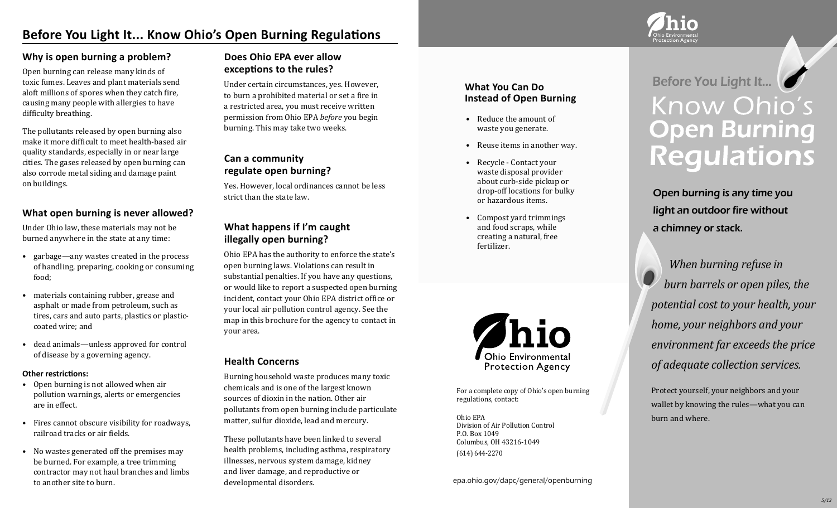# **Before You Light It... Know Ohio's Open Burning Regulations**

#### **Why is open burning a problem?**

Open burning can release many kinds of toxic fumes. Leaves and plant materials send aloft millions of spores when they catch fire, causing many people with allergies to have difficulty breathing.

The pollutants released by open burning also make it more difficult to meet health-based air quality standards, especially in or near large cities. The gases released by open burning can also corrode metal siding and damage paint on buildings.

#### **What open burning is never allowed?**

Under Ohio law, these materials may not be burned anywhere in the state at any time:

- garbage—any wastes created in the process of handling, preparing, cooking or consuming food;
- materials containing rubber, grease and asphalt or made from petroleum, such as tires, cars and auto parts, plastics or plasticcoated wire; and
- dead animals—unless approved for control of disease by a governing agency.

#### **Other restrictions:**

- Open burning is not allowed when air pollution warnings, alerts or emergencies are in effect.
- Fires cannot obscure visibility for roadways, railroad tracks or air fields.
- No wastes generated off the premises may be burned. For example, a tree trimming contractor may not haul branches and limbs to another site to burn.

# **Does Ohio EPA ever allow exceptions to the rules?**

Under certain circumstances, yes. However, to burn a prohibited material or set a fire in a restricted area, you must receive written permission from Ohio EPA *before* you begin burning. This may take two weeks.

# **Can a community regulate open burning?**

Yes. However, local ordinances cannot be less strict than the state law.

### **What happens if I'm caught illegally open burning?**

Ohio EPA has the authority to enforce the state's open burning laws. Violations can result in substantial penalties. If you have any questions, or would like to report a suspected open burning incident, contact your Ohio EPA district office or your local air pollution control agency. See the map in this brochure for the agency to contact in your area.

#### **Health Concerns**

Burning household waste produces many toxic chemicals and is one of the largest known sources of dioxin in the nation. Other air pollutants from open burning include particulate matter, sulfur dioxide, lead and mercury.

These pollutants have been linked to several health problems, including asthma, respiratory illnesses, nervous system damage, kidney and liver damage, and reproductive or developmental disorders.

#### **What You Can Do Instead of Open Burning**

- Reduce the amount of waste you generate.
- Reuse items in another way.
- Recycle Contact your waste disposal provider about curb-side pickup or drop-off locations for bulky or hazardous items.
- Compost yard trimmings and food scraps, while creating a natural, free fertilizer.



For a complete copy of Ohio's open burning regulations, contact:

Ohio EPA Division of Air Pollution Control P.O. Box 1049 Columbus, OH 43216-1049 (614) 644-2270

epa.ohio.gov/dapc/general/openburning



Open burning is any time you light an outdoor fire without a chimney or stack.

 *When burning refuse in burn barrels or open piles, the potential cost to your health, your home, your neighbors and your environment far exceeds the price of adequate collection services.*

Protect yourself, your neighbors and your wallet by knowing the rules—what you can burn and where.